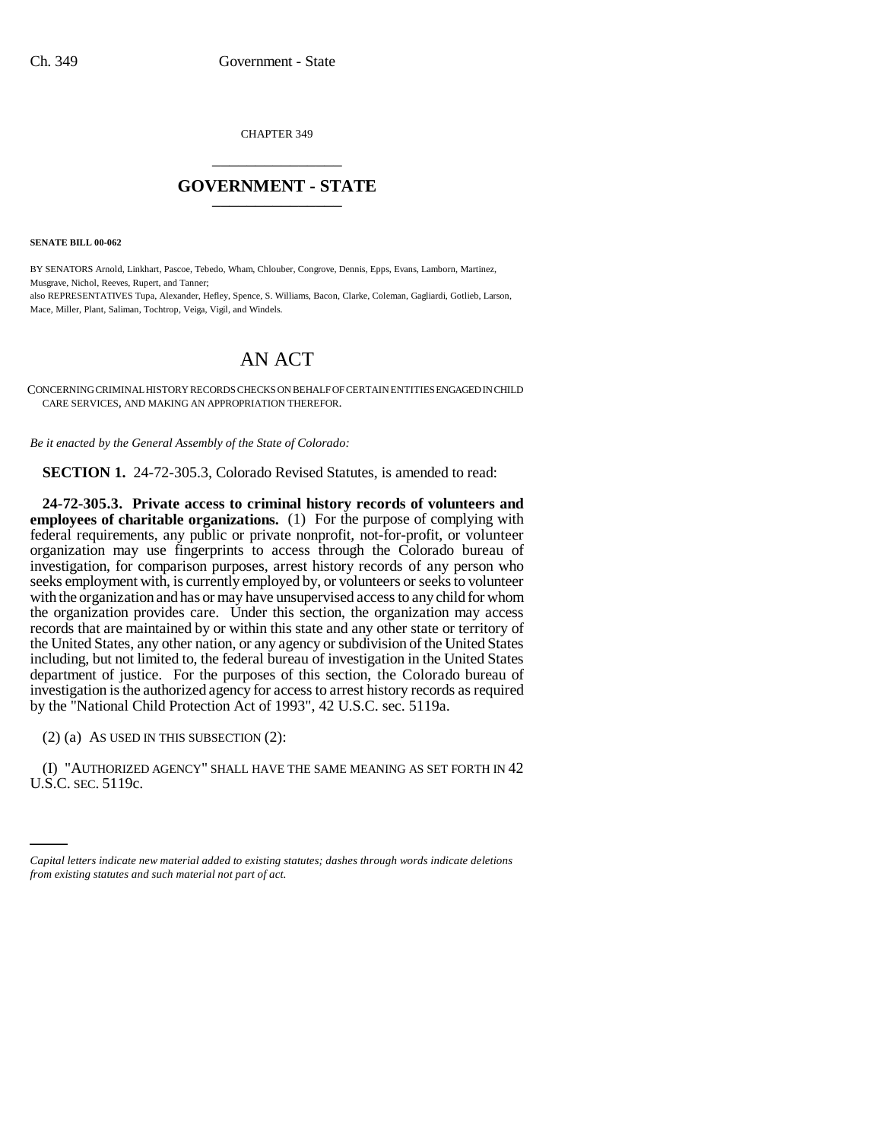CHAPTER 349 \_\_\_\_\_\_\_\_\_\_\_\_\_\_\_

## **GOVERNMENT - STATE** \_\_\_\_\_\_\_\_\_\_\_\_\_\_\_

**SENATE BILL 00-062** 

BY SENATORS Arnold, Linkhart, Pascoe, Tebedo, Wham, Chlouber, Congrove, Dennis, Epps, Evans, Lamborn, Martinez, Musgrave, Nichol, Reeves, Rupert, and Tanner; also REPRESENTATIVES Tupa, Alexander, Hefley, Spence, S. Williams, Bacon, Clarke, Coleman, Gagliardi, Gotlieb, Larson, Mace, Miller, Plant, Saliman, Tochtrop, Veiga, Vigil, and Windels.

## AN ACT

CONCERNING CRIMINAL HISTORY RECORDS CHECKS ON BEHALF OF CERTAIN ENTITIES ENGAGED IN CHILD CARE SERVICES, AND MAKING AN APPROPRIATION THEREFOR.

*Be it enacted by the General Assembly of the State of Colorado:*

**SECTION 1.** 24-72-305.3, Colorado Revised Statutes, is amended to read:

**24-72-305.3. Private access to criminal history records of volunteers and employees of charitable organizations.** (1) For the purpose of complying with federal requirements, any public or private nonprofit, not-for-profit, or volunteer organization may use fingerprints to access through the Colorado bureau of investigation, for comparison purposes, arrest history records of any person who seeks employment with, is currently employed by, or volunteers or seeks to volunteer with the organization and has or may have unsupervised access to any child for whom the organization provides care. Under this section, the organization may access records that are maintained by or within this state and any other state or territory of the United States, any other nation, or any agency or subdivision of the United States including, but not limited to, the federal bureau of investigation in the United States department of justice. For the purposes of this section, the Colorado bureau of investigation is the authorized agency for access to arrest history records as required by the "National Child Protection Act of 1993", 42 U.S.C. sec. 5119a.

(2) (a) AS USED IN THIS SUBSECTION (2):

 $($ I) "AUTHORIZED AGENCY" SHALL HAVE THE SAME MEANING AS SET FORTH IN  $42$ U.S.C. SEC. 5119c.

*Capital letters indicate new material added to existing statutes; dashes through words indicate deletions from existing statutes and such material not part of act.*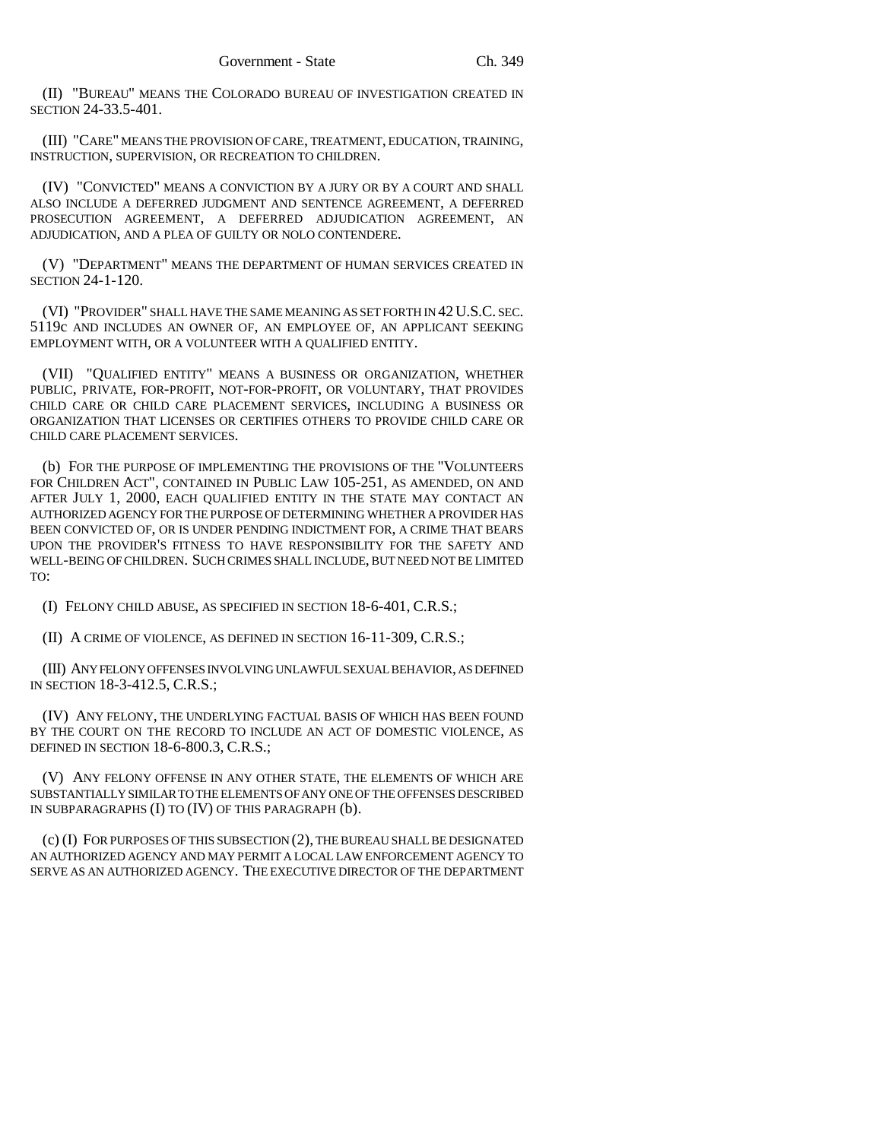(II) "BUREAU" MEANS THE COLORADO BUREAU OF INVESTIGATION CREATED IN SECTION 24-33.5-401.

(III) "CARE" MEANS THE PROVISION OF CARE, TREATMENT, EDUCATION, TRAINING, INSTRUCTION, SUPERVISION, OR RECREATION TO CHILDREN.

(IV) "CONVICTED" MEANS A CONVICTION BY A JURY OR BY A COURT AND SHALL ALSO INCLUDE A DEFERRED JUDGMENT AND SENTENCE AGREEMENT, A DEFERRED PROSECUTION AGREEMENT, A DEFERRED ADJUDICATION AGREEMENT, AN ADJUDICATION, AND A PLEA OF GUILTY OR NOLO CONTENDERE.

(V) "DEPARTMENT" MEANS THE DEPARTMENT OF HUMAN SERVICES CREATED IN SECTION 24-1-120.

(VI) "PROVIDER" SHALL HAVE THE SAME MEANING AS SET FORTH IN 42U.S.C. SEC. 5119c AND INCLUDES AN OWNER OF, AN EMPLOYEE OF, AN APPLICANT SEEKING EMPLOYMENT WITH, OR A VOLUNTEER WITH A QUALIFIED ENTITY.

(VII) "QUALIFIED ENTITY" MEANS A BUSINESS OR ORGANIZATION, WHETHER PUBLIC, PRIVATE, FOR-PROFIT, NOT-FOR-PROFIT, OR VOLUNTARY, THAT PROVIDES CHILD CARE OR CHILD CARE PLACEMENT SERVICES, INCLUDING A BUSINESS OR ORGANIZATION THAT LICENSES OR CERTIFIES OTHERS TO PROVIDE CHILD CARE OR CHILD CARE PLACEMENT SERVICES.

(b) FOR THE PURPOSE OF IMPLEMENTING THE PROVISIONS OF THE "VOLUNTEERS FOR CHILDREN ACT", CONTAINED IN PUBLIC LAW 105-251, AS AMENDED, ON AND AFTER JULY 1, 2000, EACH QUALIFIED ENTITY IN THE STATE MAY CONTACT AN AUTHORIZED AGENCY FOR THE PURPOSE OF DETERMINING WHETHER A PROVIDER HAS BEEN CONVICTED OF, OR IS UNDER PENDING INDICTMENT FOR, A CRIME THAT BEARS UPON THE PROVIDER'S FITNESS TO HAVE RESPONSIBILITY FOR THE SAFETY AND WELL-BEING OF CHILDREN. SUCH CRIMES SHALL INCLUDE, BUT NEED NOT BE LIMITED TO:

(I) FELONY CHILD ABUSE, AS SPECIFIED IN SECTION 18-6-401, C.R.S.;

(II) A CRIME OF VIOLENCE, AS DEFINED IN SECTION 16-11-309, C.R.S.;

(III) ANY FELONY OFFENSES INVOLVING UNLAWFUL SEXUAL BEHAVIOR, AS DEFINED IN SECTION 18-3-412.5, C.R.S.;

(IV) ANY FELONY, THE UNDERLYING FACTUAL BASIS OF WHICH HAS BEEN FOUND BY THE COURT ON THE RECORD TO INCLUDE AN ACT OF DOMESTIC VIOLENCE, AS DEFINED IN SECTION 18-6-800.3, C.R.S.;

(V) ANY FELONY OFFENSE IN ANY OTHER STATE, THE ELEMENTS OF WHICH ARE SUBSTANTIALLY SIMILAR TO THE ELEMENTS OF ANY ONE OF THE OFFENSES DESCRIBED IN SUBPARAGRAPHS (I) TO (IV) OF THIS PARAGRAPH (b).

(c) (I) FOR PURPOSES OF THIS SUBSECTION (2), THE BUREAU SHALL BE DESIGNATED AN AUTHORIZED AGENCY AND MAY PERMIT A LOCAL LAW ENFORCEMENT AGENCY TO SERVE AS AN AUTHORIZED AGENCY. THE EXECUTIVE DIRECTOR OF THE DEPARTMENT